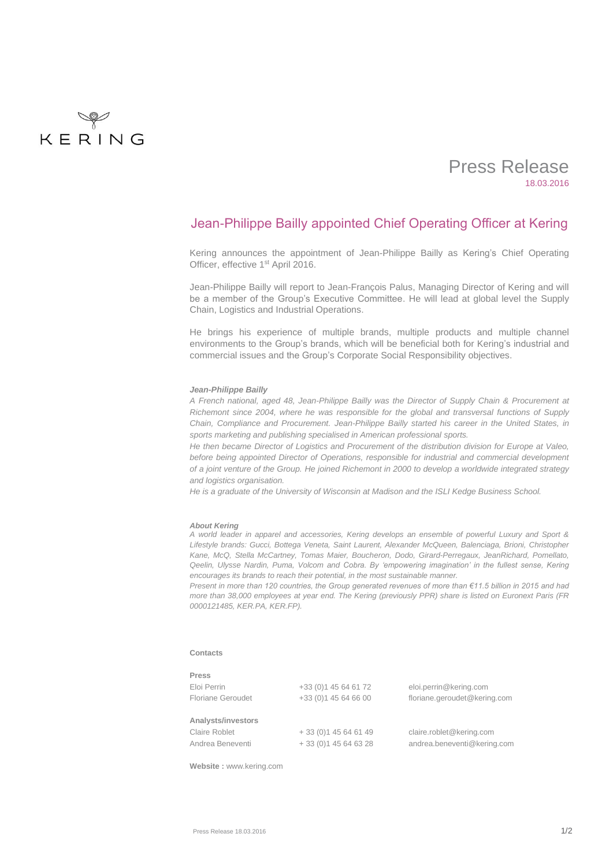

# Press Release 18.03.2016

## Jean-Philippe Bailly appointed Chief Operating Officer at Kering

Kering announces the appointment of Jean-Philippe Bailly as Kering's Chief Operating Officer, effective 1<sup>st</sup> April 2016.

Jean-Philippe Bailly will report to Jean-François Palus, Managing Director of Kering and will be a member of the Group's Executive Committee. He will lead at global level the Supply Chain, Logistics and Industrial Operations.

He brings his experience of multiple brands, multiple products and multiple channel environments to the Group's brands, which will be beneficial both for Kering's industrial and commercial issues and the Group's Corporate Social Responsibility objectives.

### *Jean-Philippe Bailly*

*A French national, aged 48, Jean-Philippe Bailly was the Director of Supply Chain & Procurement at Richemont since 2004, where he was responsible for the global and transversal functions of Supply Chain, Compliance and Procurement. Jean-Philippe Bailly started his career in the United States, in sports marketing and publishing specialised in American professional sports.* 

*He then became Director of Logistics and Procurement of the distribution division for Europe at Valeo, before being appointed Director of Operations, responsible for industrial and commercial development of a joint venture of the Group. He joined Richemont in 2000 to develop a worldwide integrated strategy and logistics organisation.*

*He is a graduate of the University of Wisconsin at Madison and the ISLI Kedge Business School.*

#### *About Kering*

*A world leader in apparel and accessories, Kering develops an ensemble of powerful Luxury and Sport & Lifestyle brands: Gucci, Bottega Veneta, Saint Laurent, Alexander McQueen, Balenciaga, Brioni, Christopher Kane, McQ, Stella McCartney, Tomas Maier, Boucheron, Dodo, Girard-Perregaux, JeanRichard, Pomellato, Qeelin, Ulysse Nardin, Puma, Volcom and Cobra. By 'empowering imagination' in the fullest sense, Kering encourages its brands to reach their potential, in the most sustainable manner.* 

*Present in more than 120 countries, the Group generated revenues of more than €11.5 billion in 2015 and had more than 38,000 employees at year end. The Kering (previously PPR) share is listed on Euronext Paris (FR 0000121485, KER.PA, KER.FP).*

#### **Contacts**

| Press                    |                       |                              |
|--------------------------|-----------------------|------------------------------|
| Eloi Perrin              | +33 (0) 1 45 64 61 72 | eloi.perrin@kering.com       |
| <b>Floriane Geroudet</b> | +33 (0) 1 45 64 66 00 | floriane.geroudet@kering.com |
| Analysts/investors       |                       |                              |
| Claire Roblet            | $+33(0)145646149$     | claire.roblet@kering.com     |
| Andrea Beneventi         | $+33(0)145646328$     | andrea.beneventi@kering.com  |

**Website :** [www.kering.com](http://www.kering.com/)